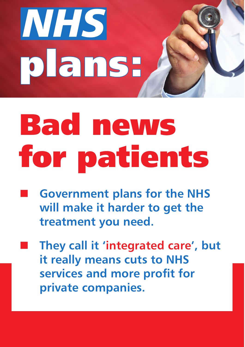

## Bad news for patients

- **Government plans for the NHS will make it harder to get the treatment you need.** 
	- n **They call it 'integrated care', but it really means cuts to NHS services and more profit for private companies.**